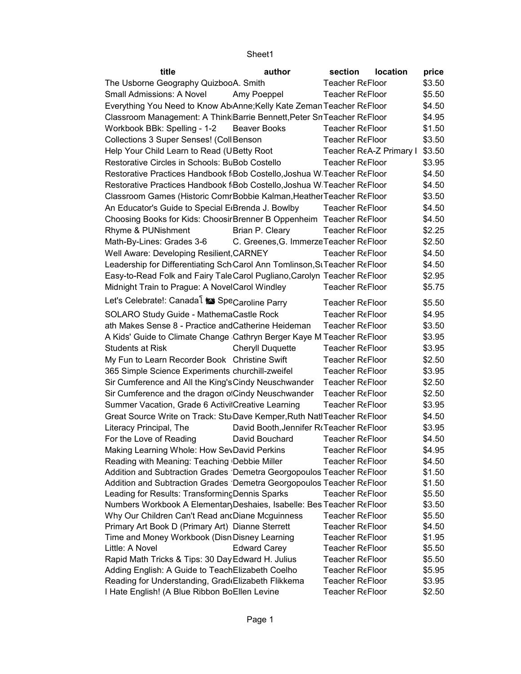| title                                                                      | author                                  | section                | <b>location</b>         | price  |
|----------------------------------------------------------------------------|-----------------------------------------|------------------------|-------------------------|--------|
| The Usborne Geography QuizbooA. Smith                                      |                                         | <b>Teacher ReFloor</b> |                         | \$3.50 |
| Small Admissions: A Novel                                                  | Amy Poeppel                             | <b>Teacher ReFloor</b> |                         | \$5.50 |
| Everything You Need to Know Ab Anne; Kelly Kate Zeman Teacher ReFloor      |                                         |                        |                         | \$4.50 |
| Classroom Management: A Think Barrie Bennett, Peter Sn Teacher ReFloor     |                                         |                        |                         | \$4.95 |
| Workbook BBk: Spelling - 1-2                                               | <b>Beaver Books</b>                     | Teacher ReFloor        |                         | \$1.50 |
| Collections 3 Super Senses! (Coll Benson                                   |                                         | Teacher ReFloor        |                         | \$3.50 |
| Help Your Child Learn to Read (UBetty Root                                 |                                         |                        | Teacher ReA-Z Primary I | \$3.50 |
| Restorative Circles in Schools: BuBob Costello                             |                                         | Teacher ReFloor        |                         | \$3.95 |
| Restorative Practices Handbook f Bob Costello, Joshua W Teacher ReFloor    |                                         |                        |                         | \$4.50 |
| Restorative Practices Handbook f Bob Costello, Joshua W Teacher ReFloor    |                                         |                        |                         | \$4.50 |
| Classroom Games (Historic ComrBobbie Kalman, Heather Teacher ReFloor       |                                         |                        |                         | \$3.50 |
| An Educator's Guide to Special E Brenda J. Bowlby                          |                                         | <b>Teacher ReFloor</b> |                         | \$4.50 |
| Choosing Books for Kids: Choosir Brenner B Oppenheim Teacher ReFloor       |                                         |                        |                         | \$4.50 |
| Rhyme & PUNishment                                                         | Brian P. Cleary                         | <b>Teacher ReFloor</b> |                         | \$2.25 |
| Math-By-Lines: Grades 3-6                                                  | C. Greenes, G. Immerze Teacher ReFloor  |                        |                         | \$2.50 |
| Well Aware: Developing Resilient, CARNEY                                   |                                         | Teacher ReFloor        |                         | \$4.50 |
| Leadership for Differentiating Sch Carol Ann Tomlinson, St Teacher ReFloor |                                         |                        |                         | \$4.50 |
| Easy-to-Read Folk and Fairy TaleCarol Pugliano, Carolyn Teacher ReFloor    |                                         |                        |                         | \$2.95 |
| Midnight Train to Prague: A NovelCarol Windley                             |                                         | <b>Teacher ReFloor</b> |                         | \$5.75 |
| Let's Celebrate!: Canada <sup>[</sup> is Spe <sub>Caroline Parry</sub>     |                                         | <b>Teacher ReFloor</b> |                         | \$5.50 |
| SOLARO Study Guide - MathemaCastle Rock                                    |                                         | <b>Teacher ReFloor</b> |                         | \$4.95 |
| ath Makes Sense 8 - Practice and Catherine Heideman                        |                                         | <b>Teacher ReFloor</b> |                         | \$3.50 |
| A Kids' Guide to Climate Change Cathryn Berger Kaye M Teacher ReFloor      |                                         |                        |                         | \$3.95 |
| <b>Students at Risk</b>                                                    | <b>Cheryll Duquette</b>                 | Teacher ReFloor        |                         | \$3.95 |
| My Fun to Learn Recorder Book Christine Swift                              |                                         | <b>Teacher ReFloor</b> |                         | \$2.50 |
| 365 Simple Science Experiments churchill-zweifel                           |                                         | <b>Teacher ReFloor</b> |                         | \$3.95 |
| Sir Cumference and All the King's Cindy Neuschwander                       |                                         | <b>Teacher ReFloor</b> |                         | \$2.50 |
| Sir Cumference and the dragon of Cindy Neuschwander                        |                                         | <b>Teacher ReFloor</b> |                         | \$2.50 |
| Summer Vacation, Grade 6 ActivilCreative Learning                          |                                         | <b>Teacher ReFloor</b> |                         | \$3.95 |
| Great Source Write on Track: Stu Dave Kemper, Ruth NatI Teacher ReFloor    |                                         |                        |                         | \$4.50 |
| Literacy Principal, The                                                    | David Booth, Jennifer RoTeacher ReFloor |                        |                         | \$3.95 |
| For the Love of Reading                                                    | David Bouchard                          | Teacher ReFloor        |                         | \$4.50 |
| Making Learning Whole: How SevDavid Perkins                                |                                         | Teacher ReFloor        |                         | \$4.95 |
| Reading with Meaning: Teaching Debbie Miller                               |                                         | Teacher ReFloor        |                         | \$4.50 |
| Addition and Subtraction Grades Demetra Georgopoulos Teacher ReFloor       |                                         |                        |                         | \$1.50 |
| Addition and Subtraction Grades Demetra Georgopoulos Teacher ReFloor       |                                         |                        |                         | \$1.50 |
| Leading for Results: Transforming Dennis Sparks                            |                                         | Teacher ReFloor        |                         | \$5.50 |
| Numbers Workbook A Elementar Deshaies, Isabelle: Bes Teacher ReFloor       |                                         |                        |                         | \$3.50 |
| Why Our Children Can't Read an Diane Mcguinness                            |                                         | <b>Teacher ReFloor</b> |                         | \$5.50 |
| Primary Art Book D (Primary Art) Dianne Sterrett                           |                                         | Teacher ReFloor        |                         | \$4.50 |
| Time and Money Workbook (Disn Disney Learning                              |                                         | Teacher ReFloor        |                         | \$1.95 |
| Little: A Novel                                                            | <b>Edward Carey</b>                     | <b>Teacher ReFloor</b> |                         | \$5.50 |
| Rapid Math Tricks & Tips: 30 Day Edward H. Julius                          |                                         | Teacher ReFloor        |                         | \$5.50 |
| Adding English: A Guide to TeachElizabeth Coelho                           |                                         | Teacher ReFloor        |                         | \$5.95 |
| Reading for Understanding, Grad Elizabeth Flikkema                         |                                         | Teacher ReFloor        |                         | \$3.95 |
| I Hate English! (A Blue Ribbon BoEllen Levine                              |                                         | Teacher ReFloor        |                         | \$2.50 |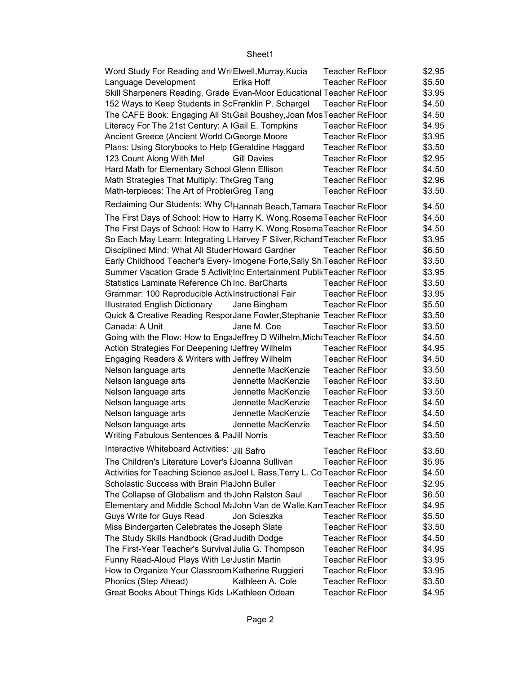| Word Study For Reading and WritElwell, Murray, Kucia                        | <b>Teacher ReFloor</b> | \$2.95 |
|-----------------------------------------------------------------------------|------------------------|--------|
| Language Development<br>Erika Hoff                                          | Teacher ReFloor        | \$5.50 |
| Skill Sharpeners Reading, Grade Evan-Moor Educational Teacher ReFloor       |                        | \$3.95 |
| 152 Ways to Keep Students in ScFranklin P. Schargel                         | <b>Teacher ReFloor</b> | \$4.50 |
| The CAFE Book: Engaging All SttGail Boushey, Joan Mos Teacher ReFloor       |                        | \$4.50 |
| Literacy For The 21st Century: A IGail E. Tompkins                          | Teacher ReFloor        | \$4.95 |
| Ancient Greece (Ancient World CiGeorge Moore                                | <b>Teacher ReFloor</b> | \$3.95 |
| Plans: Using Storybooks to Help EGeraldine Haggard                          | Teacher ReFloor        | \$3.50 |
| 123 Count Along With Me!<br><b>Gill Davies</b>                              | <b>Teacher ReFloor</b> | \$2.95 |
| Hard Math for Elementary School Glenn Ellison                               | <b>Teacher ReFloor</b> | \$4.50 |
| Math Strategies That Multiply: The Greg Tang                                | Teacher ReFloor        | \$2.96 |
| Math-terpieces: The Art of ProblerGreg Tang                                 | <b>Teacher ReFloor</b> | \$3.50 |
| Reclaiming Our Students: Why Cl Hannah Beach, Tamara Teacher ReFloor        |                        | \$4.50 |
| The First Days of School: How to Harry K. Wong, Rosema Teacher ReFloor      |                        | \$4.50 |
| The First Days of School: How to Harry K. Wong, Rosema Teacher ReFloor      |                        | \$4.50 |
| So Each May Learn: Integrating L Harvey F Silver, Richard Teacher ReFloor   |                        | \$3.95 |
| Disciplined Mind: What All StudenHoward Gardner                             | Teacher ReFloor        | \$6.50 |
| Early Childhood Teacher's Every-Imogene Forte, Sally Sh Teacher ReFloor     |                        | \$3.50 |
| Summer Vacation Grade 5 Activit Inc Entertainment Publi Teacher ReFloor     |                        | \$3.95 |
| Statistics Laminate Reference Ch Inc. BarCharts                             | Teacher ReFloor        | \$3.50 |
| Grammar: 100 Reproducible ActivInstructional Fair                           | Teacher ReFloor        | \$3.95 |
| <b>Illustrated English Dictionary</b><br>Jane Bingham                       | Teacher ReFloor        | \$5.50 |
| Quick & Creative Reading ResporJane Fowler, Stephanie Teacher ReFloor       |                        | \$3.50 |
| Canada: A Unit<br>Jane M. Coe                                               | Teacher ReFloor        | \$3.50 |
| Going with the Flow: How to EngaJeffrey D Wilhelm, MichaTeacher ReFloor     |                        | \$4.50 |
| Action Strategies For Deepening (Jeffrey Wilhelm                            | Teacher ReFloor        | \$4.95 |
| Engaging Readers & Writers with Jeffrey Wilhelm                             | Teacher ReFloor        | \$4.50 |
| Nelson language arts<br>Jennette MacKenzie                                  | Teacher ReFloor        | \$3.50 |
| Jennette MacKenzie<br>Nelson language arts                                  | Teacher ReFloor        | \$3.50 |
| Jennette MacKenzie<br>Nelson language arts                                  | Teacher ReFloor        | \$3.50 |
| Jennette MacKenzie<br>Nelson language arts                                  | <b>Teacher ReFloor</b> | \$4.50 |
| Jennette MacKenzie<br>Nelson language arts                                  | Teacher ReFloor        | \$4.50 |
| Nelson language arts<br>Jennette MacKenzie                                  | Teacher ReFloor        | \$4.50 |
| Writing Fabulous Sentences & PaJill Norris                                  | Teacher ReFloor        | \$3.50 |
| Interactive Whiteboard Activities: Jill Safro                               | <b>Teacher ReFloor</b> | \$3.50 |
| The Children's Literature Lover's IJoanna Sullivan                          | <b>Teacher ReFloor</b> | \$5.95 |
| Activities for Teaching Science as Joel L Bass, Terry L. ColTeacher ReFloor |                        | \$4.50 |
| Scholastic Success with Brain PlaJohn Buller                                | Teacher ReFloor        | \$2.95 |
| The Collapse of Globalism and th <sub>John</sub> Ralston Saul               | <b>Teacher ReFloor</b> | \$6.50 |
| Elementary and Middle School MtJohn Van de Walle, Kart Teacher ReFloor      |                        | \$4.95 |
| Guys Write for Guys Read<br>Jon Scieszka                                    | Teacher ReFloor        | \$5.50 |
| Miss Bindergarten Celebrates the Joseph Slate                               | Teacher ReFloor        | \$3.50 |
| The Study Skills Handbook (Grad Judith Dodge                                | <b>Teacher ReFloor</b> | \$4.50 |
| The First-Year Teacher's Survival Julia G. Thompson                         | Teacher ReFloor        | \$4.95 |
| Funny Read-Aloud Plays With Le Justin Martin                                | Teacher ReFloor        | \$3.95 |
| How to Organize Your Classroom Katherine Ruggieri                           | Teacher ReFloor        | \$3.95 |
| Phonics (Step Ahead)<br>Kathleen A. Cole                                    | <b>Teacher ReFloor</b> | \$3.50 |
| Great Books About Things Kids L <sub>'</sub> Kathleen Odean                 | <b>Teacher ReFloor</b> | \$4.95 |
|                                                                             |                        |        |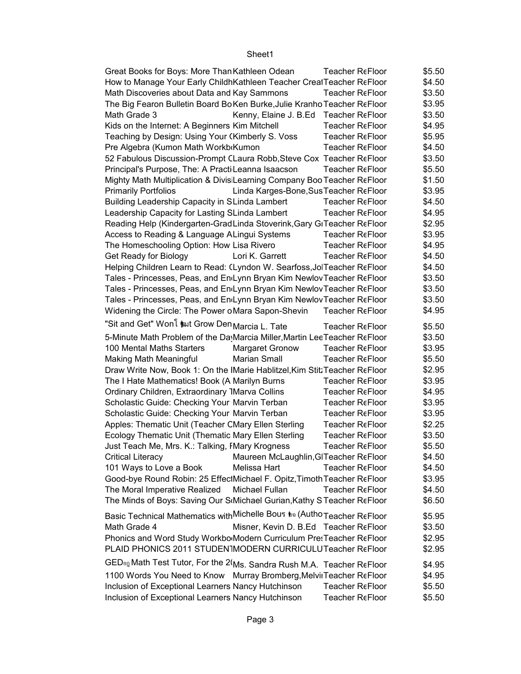| Great Books for Boys: More Than Kathleen Odean                                      | <b>Teacher ReFloor</b>                 | \$5.50 |  |
|-------------------------------------------------------------------------------------|----------------------------------------|--------|--|
| How to Manage Your Early Childh Kathleen Teacher Creat Teacher ReFloor              |                                        | \$4.50 |  |
| Math Discoveries about Data and Kay Sammons                                         | Teacher ReFloor                        | \$3.50 |  |
| The Big Fearon Bulletin Board Bo Ken Burke, Julie Kranho Teacher ReFloor            |                                        | \$3.95 |  |
| Math Grade 3                                                                        | Kenny, Elaine J. B.Ed Teacher ReFloor  | \$3.50 |  |
| Kids on the Internet: A Beginners Kim Mitchell                                      | Teacher ReFloor                        | \$4.95 |  |
| Teaching by Design: Using Your (Kimberly S. Voss)                                   | Teacher ReFloor                        | \$5.95 |  |
| Pre Algebra (Kumon Math Workb Kumon                                                 | Teacher ReFloor                        | \$4.50 |  |
| 52 Fabulous Discussion-Prompt CLaura Robb, Steve Cox Teacher ReFloor                |                                        | \$3.50 |  |
| Principal's Purpose, The: A Practi Leanna Isaacson                                  | <b>Teacher ReFloor</b>                 | \$5.50 |  |
| Mighty Math Multiplication & Divis Learning Company Boo Teacher ReFloor             |                                        | \$1.50 |  |
| <b>Primarily Portfolios</b>                                                         | Linda Karges-Bone, Sus Teacher ReFloor | \$3.95 |  |
| Building Leadership Capacity in SLinda Lambert                                      | Teacher ReFloor                        | \$4.50 |  |
| Leadership Capacity for Lasting SLinda Lambert                                      | Teacher ReFloor                        | \$4.95 |  |
| Reading Help (Kindergarten-GradLinda Stoverink, Gary GITeacher ReFloor              |                                        | \$2.95 |  |
| Access to Reading & Language ALingui Systems                                        | Teacher ReFloor                        | \$3.95 |  |
| The Homeschooling Option: How Lisa Rivero                                           | Teacher ReFloor                        | \$4.95 |  |
| Get Ready for Biology<br>Lori K. Garrett                                            | Teacher ReFloor                        | \$4.50 |  |
| Helping Children Learn to Read: (Lyndon W. Searfoss, JolTeacher ReFloor             |                                        | \$4.50 |  |
| Tales - Princesses, Peas, and En <sub>'</sub> Lynn Bryan Kim Newlov Teacher ReFloor |                                        | \$3.50 |  |
| Tales - Princesses, Peas, and En <sub>'</sub> Lynn Bryan Kim Newlov Teacher ReFloor |                                        | \$3.50 |  |
| Tales - Princesses, Peas, and En <sub>'</sub> Lynn Bryan Kim Newlov Teacher ReFloor |                                        | \$3.50 |  |
|                                                                                     |                                        |        |  |
| Widening the Circle: The Power oMara Sapon-Shevin                                   | Teacher ReFloor                        | \$4.95 |  |
| "Sit and Get" Won <sup>[</sup> put Grow Den Marcia L. Tate                          | Teacher ReFloor                        | \$5.50 |  |
| 5-Minute Math Problem of the Da Marcia Miller, Martin Lee Teacher ReFloor           |                                        | \$3.50 |  |
| 100 Mental Maths Starters<br>Margaret Gronow                                        | Teacher ReFloor                        | \$3.95 |  |
| <b>Marian Small</b><br>Making Math Meaningful                                       | Teacher ReFloor                        | \$5.50 |  |
| Draw Write Now, Book 1: On the IMarie Hablitzel, Kim Stit: Teacher ReFloor          |                                        | \$2.95 |  |
| The I Hate Mathematics! Book (A Marilyn Burns                                       | Teacher ReFloor                        | \$3.95 |  |
| Ordinary Children, Extraordinary 1Marva Collins                                     | Teacher ReFloor                        | \$4.95 |  |
| Scholastic Guide: Checking Your Marvin Terban                                       | Teacher ReFloor                        | \$3.95 |  |
| Scholastic Guide: Checking Your Marvin Terban                                       | <b>Teacher ReFloor</b>                 | \$3.95 |  |
| Apples: Thematic Unit (Teacher CMary Ellen Sterling                                 | Teacher ReFloor                        | \$2.25 |  |
| Ecology Thematic Unit (Thematic Mary Ellen Sterling                                 | Teacher ReFloor                        | \$3.50 |  |
|                                                                                     | Teacher ReFloor                        | \$5.50 |  |
| Just Teach Me, Mrs. K.: Talking, IMary Krogness                                     |                                        |        |  |
| <b>Critical Literacy</b>                                                            | Maureen McLaughlin, GITeacher ReFloor  | \$4.50 |  |
| 101 Ways to Love a Book<br>Melissa Hart                                             | Teacher ReFloor                        | \$4.50 |  |
| Good-bye Round Robin: 25 EffectMichael F. Opitz, Timoth Teacher ReFloor             |                                        | \$3.95 |  |
| The Moral Imperative Realized<br>Michael Fullan                                     | <b>Teacher ReFloor</b>                 | \$4.50 |  |
| The Minds of Boys: Saving Our S <sub>'</sub> Michael Gurian, Kathy STeacher ReFloor |                                        | \$6.50 |  |
| Basic Technical Mathematics with Michelle Bous to (Autho Teacher ReFloor            |                                        | \$5.95 |  |
| Math Grade 4                                                                        | Misner, Kevin D. B.Ed Teacher ReFloor  | \$3.50 |  |
| Phonics and Word Study Workbo Modern Curriculum PresTeacher ReFloor                 |                                        | \$2.95 |  |
|                                                                                     |                                        |        |  |
| PLAID PHONICS 2011 STUDEN MODERN CURRICULUTeacher ReFloor                           |                                        | \$2.95 |  |
| GED <sub>#0</sub> Math Test Tutor, For the 2(Ms. Sandra Rush M.A. Teacher ReFloor   |                                        | \$4.95 |  |
| 1100 Words You Need to Know Murray Bromberg, Melvii Teacher ReFloor                 |                                        | \$4.95 |  |
| Inclusion of Exceptional Learners Nancy Hutchinson                                  | Teacher ReFloor                        | \$5.50 |  |
| Inclusion of Exceptional Learners Nancy Hutchinson                                  | Teacher ReFloor                        | \$5.50 |  |
|                                                                                     |                                        |        |  |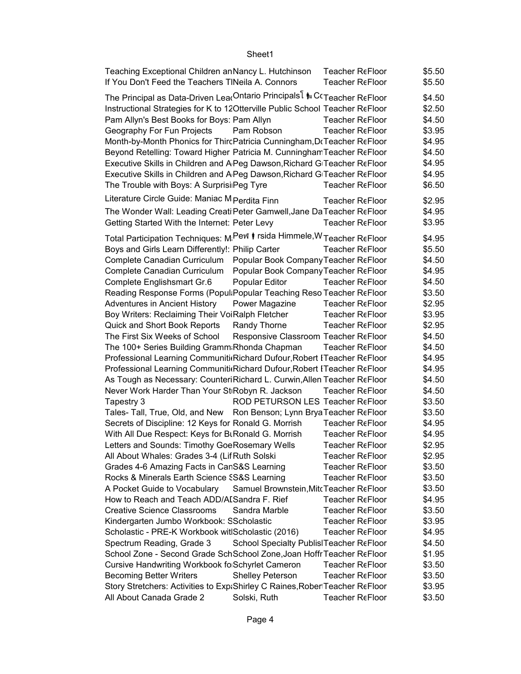| Teaching Exceptional Children an Nancy L. Hutchinson<br><b>Teacher ReFloor</b>                                         | \$5.50 |
|------------------------------------------------------------------------------------------------------------------------|--------|
| If You Don't Feed the Teachers TINeila A. Connors<br><b>Teacher ReFloor</b>                                            | \$5.50 |
| The Principal as Data-Driven Lea Ontario Principals il la C⊂Teacher ReFloor                                            | \$4.50 |
| Instructional Strategies for K to 12 Otterville Public School Teacher ReFloor                                          | \$2.50 |
| Pam Allyn's Best Books for Boys: Pam Allyn<br><b>Teacher ReFloor</b>                                                   | \$4.50 |
| Geography For Fun Projects<br>Pam Robson<br><b>Teacher ReFloor</b>                                                     | \$3.95 |
| Month-by-Month Phonics for ThircPatricia Cunningham, DrTeacher ReFloor                                                 | \$4.95 |
| Beyond Retelling: Toward Higher Patricia M. Cunningham Teacher ReFloor                                                 | \$4.50 |
| Executive Skills in Children and A Peg Dawson, Richard G Teacher ReFloor                                               | \$4.95 |
| Executive Skills in Children and APeg Dawson, Richard G Teacher ReFloor                                                | \$4.95 |
| The Trouble with Boys: A Surprisi Peg Tyre<br>Teacher ReFloor                                                          | \$6.50 |
|                                                                                                                        |        |
| Literature Circle Guide: Maniac M Perdita Finn<br>Teacher ReFloor                                                      | \$2.95 |
| The Wonder Wall: Leading Creati Peter Gamwell, Jane Da Teacher ReFloor                                                 | \$4.95 |
| Getting Started With the Internet: Peter Levy<br>Teacher ReFloor                                                       | \$3.95 |
| Total Participation Techniques: M Pew   rsida Himmele, W Teacher ReFloor                                               | \$4.95 |
| Boys and Girls Learn Differently!: Philip Carter<br>Teacher ReFloor                                                    | \$5.50 |
| Complete Canadian Curriculum<br>Popular Book Company Teacher ReFloor                                                   | \$4.50 |
| Complete Canadian Curriculum<br>Popular Book Company Teacher ReFloor                                                   | \$4.95 |
| Complete Englishsmart Gr.6<br>Popular Editor<br>Teacher ReFloor                                                        | \$4.50 |
| Reading Response Forms (Popul: Popular Teaching Reso Teacher ReFloor                                                   | \$3.50 |
| Adventures in Ancient History<br>Teacher ReFloor<br>Power Magazine                                                     | \$2.95 |
| Boy Writers: Reclaiming Their VoiRalph Fletcher<br>Teacher ReFloor                                                     | \$3.95 |
| Quick and Short Book Reports<br>Randy Thorne<br>Teacher ReFloor                                                        | \$2.95 |
| The First Six Weeks of School<br>Responsive Classroom Teacher ReFloor                                                  | \$4.50 |
| The 100+ Series Building Gramm Rhonda Chapman<br><b>Teacher ReFloor</b>                                                | \$4.50 |
| Professional Learning Communiti(Richard Dufour, Robert ITeacher ReFloor                                                | \$4.95 |
| Professional Learning Communiti Richard Dufour, Robert ITeacher ReFloor                                                | \$4.95 |
| As Tough as Necessary: CounteriRichard L. Curwin, Allen Teacher ReFloor                                                | \$4.50 |
| Never Work Harder Than Your St Robyn R. Jackson<br><b>Teacher ReFloor</b>                                              | \$4.50 |
| ROD PETURSON LES Teacher ReFloor<br>Tapestry 3                                                                         | \$3.50 |
| Tales- Tall, True, Old, and New Ron Benson; Lynn Brya Teacher ReFloor                                                  | \$3.50 |
| Secrets of Discipline: 12 Keys for Ronald G. Morrish<br>Teacher ReFloor                                                | \$4.95 |
| With All Due Respect: Keys for BLRonald G. Morrish<br><b>Teacher ReFloor</b>                                           | \$4.95 |
| Letters and Sounds: Timothy GoeRosemary Wells<br>Teacher ReFloor                                                       | \$2.95 |
| All About Whales: Grades 3-4 (Lif Ruth Solski<br>Teacher ReFloor                                                       | \$2.95 |
| <b>Teacher ReFloor</b>                                                                                                 | \$3.50 |
| Grades 4-6 Amazing Facts in CanS&S Learning<br><b>Teacher ReFloor</b>                                                  | \$3.50 |
| Rocks & Minerals Earth Science SS&S Learning                                                                           |        |
| A Pocket Guide to Vocabulary<br>Samuel Brownstein, MitcTeacher ReFloor<br>How to Reach and Teach ADD/AI Sandra F. Rief | \$3.50 |
| <b>Teacher ReFloor</b>                                                                                                 | \$4.95 |
| <b>Creative Science Classrooms</b><br>Sandra Marble<br>Teacher ReFloor                                                 | \$3.50 |
| Kindergarten Jumbo Workbook: SScholastic<br><b>Teacher ReFloor</b>                                                     | \$3.95 |
| Scholastic - PRE-K Workbook witlScholastic (2016)<br><b>Teacher ReFloor</b>                                            | \$4.95 |
| School Specialty Publis Teacher ReFloor<br>Spectrum Reading, Grade 3                                                   | \$4.50 |
| School Zone - Second Grade SchSchool Zone, Joan Hoffr Teacher ReFloor                                                  | \$1.95 |
| Cursive Handwriting Workbook fo Schyrlet Cameron<br><b>Teacher ReFloor</b>                                             | \$3.50 |
| <b>Becoming Better Writers</b><br><b>Shelley Peterson</b><br><b>Teacher ReFloor</b>                                    | \$3.50 |
| Story Stretchers: Activities to Exp: Shirley C Raines, Rober Teacher ReFloor                                           | \$3.95 |
| All About Canada Grade 2<br>Teacher ReFloor<br>Solski, Ruth                                                            | \$3.50 |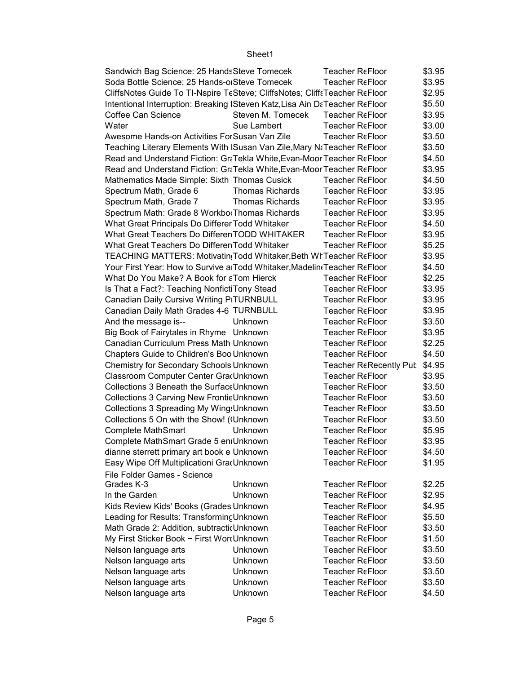| Sandwich Bag Science: 25 Hands Steve Tomecek                                |                        | Teacher ReFloor        | \$3.95 |
|-----------------------------------------------------------------------------|------------------------|------------------------|--------|
| Soda Bottle Science: 25 Hands-orSteve Tomecek                               |                        | Teacher ReFloor        | \$3.95 |
| CliffsNotes Guide To TI-Nspire TeSteve; CliffsNotes; CliffsTeacher ReFloor  |                        |                        | \$2.95 |
| Intentional Interruption: Breaking ISteven Katz, Lisa Ain DaTeacher ReFloor |                        |                        | \$5.50 |
| Coffee Can Science                                                          | Steven M. Tomecek      | <b>Teacher ReFloor</b> | \$3.95 |
| Water                                                                       | Sue Lambert            | Teacher ReFloor        | \$3.00 |
| Awesome Hands-on Activities For Susan Van Zile                              |                        | <b>Teacher ReFloor</b> | \$3.50 |
| Teaching Literary Elements With ISusan Van Zile, Mary NaTeacher ReFloor     |                        |                        | \$3.50 |
| Read and Understand Fiction: Gr Tekla White, Evan-Moor Teacher ReFloor      |                        |                        | \$4.50 |
| Read and Understand Fiction: Gr Tekla White, Evan-Moor Teacher ReFloor      |                        |                        | \$3.95 |
| Mathematics Made Simple: Sixth Thomas Cusick                                |                        | <b>Teacher ReFloor</b> | \$4.50 |
| Spectrum Math, Grade 6                                                      | <b>Thomas Richards</b> | Teacher ReFloor        | \$3.95 |
| Spectrum Math, Grade 7                                                      | Thomas Richards        | <b>Teacher ReFloor</b> | \$3.95 |
| Spectrum Math: Grade 8 WorkborThomas Richards                               |                        | Teacher ReFloor        | \$3.95 |
| What Great Principals Do Differer Todd Whitaker                             |                        | Teacher ReFloor        | \$4.50 |
| What Great Teachers Do DifferenTODD WHITAKER                                |                        | <b>Teacher ReFloor</b> | \$3.95 |
| What Great Teachers Do Differen Todd Whitaker                               |                        | Teacher ReFloor        | \$5.25 |
| TEACHING MATTERS: Motivatin(Todd Whitaker, Beth Wr Teacher ReFloor          |                        |                        | \$3.95 |
| Your First Year: How to Survive a Todd Whitaker, Madelin (Teacher ReFloor   |                        |                        | \$4.50 |
| What Do You Make? A Book for aTom Hierck                                    |                        | <b>Teacher ReFloor</b> | \$2.25 |
| Is That a Fact?: Teaching NonfictiTony Stead                                |                        | Teacher ReFloor        | \$3.95 |
| <b>Canadian Daily Cursive Writing PITURNBULL</b>                            |                        | <b>Teacher ReFloor</b> | \$3.95 |
| Canadian Daily Math Grades 4-6 TURNBULL                                     |                        | <b>Teacher ReFloor</b> | \$3.95 |
| And the message is--                                                        | Unknown                | <b>Teacher ReFloor</b> | \$3.50 |
| Big Book of Fairytales in Rhyme Unknown                                     |                        | <b>Teacher ReFloor</b> | \$3.95 |
| Canadian Curriculum Press Math Unknown                                      |                        | Teacher ReFloor        | \$2.25 |
| Chapters Guide to Children's Boo Unknown                                    |                        | <b>Teacher ReFloor</b> | \$4.50 |
| <b>Chemistry for Secondary Schools Unknown</b>                              |                        | Teacher ReRecently Pub | \$4.95 |
| Classroom Computer Center GradUnknown                                       |                        | <b>Teacher ReFloor</b> | \$3.95 |
| Collections 3 Beneath the SurfaceUnknown                                    |                        | <b>Teacher ReFloor</b> | \$3.50 |
| Collections 3 Carving New FrontieUnknown                                    |                        | Teacher ReFloor        | \$3.50 |
| Collections 3 Spreading My Wing: Unknown                                    |                        | Teacher ReFloor        | \$3.50 |
| Collections 5 On with the Show! ((Unknown                                   |                        | Teacher ReFloor        | \$3.50 |
| <b>Complete MathSmart</b>                                                   | Unknown                | <b>Teacher ReFloor</b> | \$5.95 |
| Complete MathSmart Grade 5 eniUnknown                                       |                        | Teacher ReFloor        | \$3.95 |
| dianne sterrett primary art book e Unknown                                  |                        | <b>Teacher ReFloor</b> | \$4.50 |
| Easy Wipe Off Multiplicationi GradUnknown                                   |                        | <b>Teacher ReFloor</b> | \$1.95 |
| File Folder Games - Science                                                 |                        |                        |        |
| Grades K-3                                                                  | Unknown                | <b>Teacher ReFloor</b> | \$2.25 |
| In the Garden                                                               | Unknown                | <b>Teacher ReFloor</b> | \$2.95 |
| Kids Review Kids' Books (Grades Unknown                                     |                        | Teacher ReFloor        | \$4.95 |
| Leading for Results: TransformingUnknown                                    |                        | <b>Teacher ReFloor</b> | \$5.50 |
| Math Grade 2: Addition, subtracticUnknown                                   |                        | Teacher ReFloor        | \$3.50 |
| My First Sticker Book ~ First WordUnknown                                   |                        | Teacher ReFloor        | \$1.50 |
| Nelson language arts                                                        | Unknown                | Teacher ReFloor        | \$3.50 |
| Nelson language arts                                                        | Unknown                | <b>Teacher ReFloor</b> | \$3.50 |
| Nelson language arts                                                        | Unknown                | Teacher ReFloor        | \$3.50 |
| Nelson language arts                                                        | Unknown                | Teacher ReFloor        | \$3.50 |
| Nelson language arts                                                        | Unknown                | Teacher ReFloor        | \$4.50 |
|                                                                             |                        |                        |        |